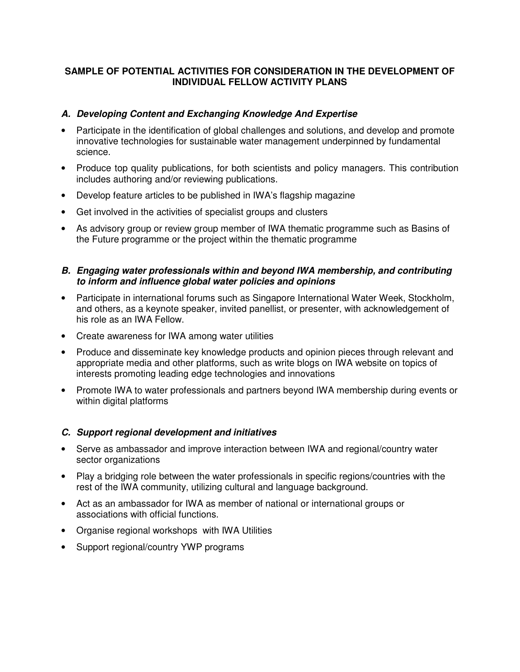# **SAMPLE OF POTENTIAL ACTIVITIES FOR CONSIDERATION IN THE DEVELOPMENT OF INDIVIDUAL FELLOW ACTIVITY PLANS**

## **A. Developing Content and Exchanging Knowledge And Expertise**

- Participate in the identification of global challenges and solutions, and develop and promote innovative technologies for sustainable water management underpinned by fundamental science.
- Produce top quality publications, for both scientists and policy managers. This contribution includes authoring and/or reviewing publications.
- Develop feature articles to be published in IWA's flagship magazine
- Get involved in the activities of specialist groups and clusters
- As advisory group or review group member of IWA thematic programme such as Basins of the Future programme or the project within the thematic programme

#### **B. Engaging water professionals within and beyond IWA membership, and contributing to inform and influence global water policies and opinions**

- Participate in international forums such as Singapore International Water Week, Stockholm, and others, as a keynote speaker, invited panellist, or presenter, with acknowledgement of his role as an IWA Fellow.
- Create awareness for IWA among water utilities
- Produce and disseminate key knowledge products and opinion pieces through relevant and appropriate media and other platforms, such as write blogs on IWA website on topics of interests promoting leading edge technologies and innovations
- Promote IWA to water professionals and partners beyond IWA membership during events or within digital platforms

#### **C. Support regional development and initiatives**

- Serve as ambassador and improve interaction between IWA and regional/country water sector organizations
- Play a bridging role between the water professionals in specific regions/countries with the rest of the IWA community, utilizing cultural and language background.
- Act as an ambassador for IWA as member of national or international groups or associations with official functions.
- Organise regional workshops with IWA Utilities
- Support regional/country YWP programs